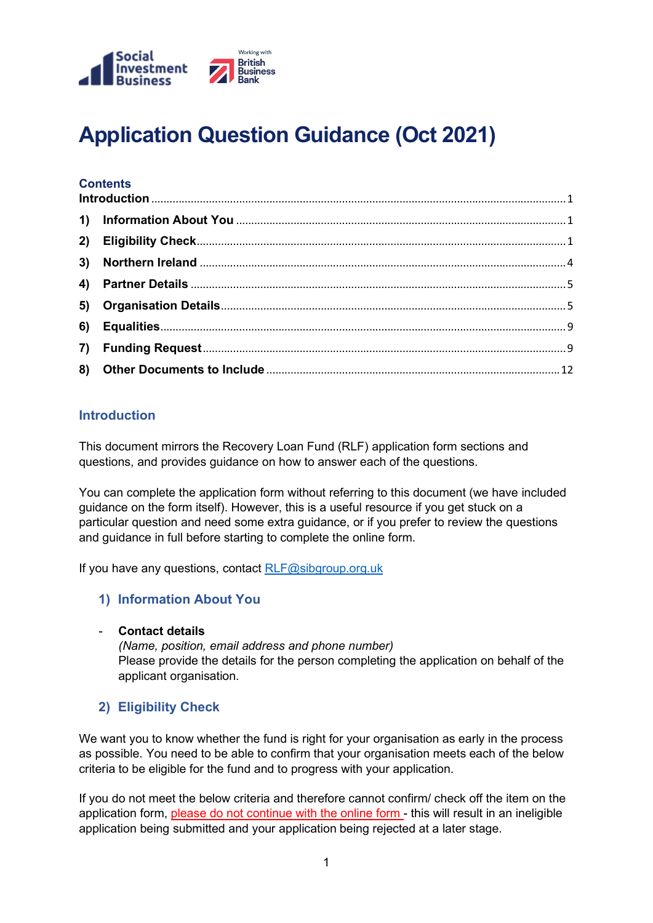

# Application Question Guidance (Oct 2021)

# **Contents**

# **Introduction**

This document mirrors the Recovery Loan Fund (RLF) application form sections and questions, and provides guidance on how to answer each of the questions.

You can complete the application form without referring to this document (we have included guidance on the form itself). However, this is a useful resource if you get stuck on a particular question and need some extra guidance, or if you prefer to review the questions and guidance in full before starting to complete the online form.

If you have any questions, contact RLF@sibgroup.org.uk

#### 1) Information About You

#### Contact details

(Name, position, email address and phone number) Please provide the details for the person completing the application on behalf of the applicant organisation.

# 2) Eligibility Check

We want you to know whether the fund is right for your organisation as early in the process as possible. You need to be able to confirm that your organisation meets each of the below criteria to be eligible for the fund and to progress with your application.

If you do not meet the below criteria and therefore cannot confirm/ check off the item on the application form, please do not continue with the online form - this will result in an ineligible application being submitted and your application being rejected at a later stage.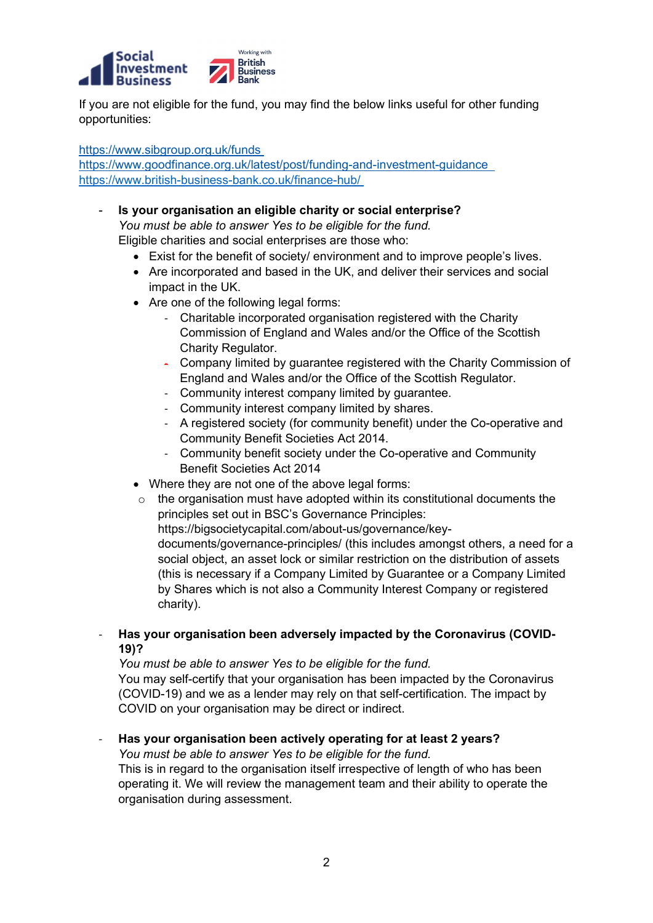

If you are not eligible for the fund, you may find the below links useful for other funding opportunities:

https://www.sibgroup.org.uk/funds

https://www.goodfinance.org.uk/latest/post/funding-and-investment-guidance https://www.british-business-bank.co.uk/finance-hub/

- Is your organisation an eligible charity or social enterprise? You must be able to answer Yes to be eligible for the fund. Eligible charities and social enterprises are those who:
	- Exist for the benefit of society/ environment and to improve people's lives.
	- Are incorporated and based in the UK, and deliver their services and social impact in the UK.
	- Are one of the following legal forms:
		- Charitable incorporated organisation registered with the Charity Commission of England and Wales and/or the Office of the Scottish Charity Regulator.
		- Company limited by guarantee registered with the Charity Commission of England and Wales and/or the Office of the Scottish Regulator.
		- Community interest company limited by guarantee.
		- Community interest company limited by shares.
		- A registered society (for community benefit) under the Co-operative and Community Benefit Societies Act 2014.
		- Community benefit society under the Co-operative and Community Benefit Societies Act 2014
	- Where they are not one of the above legal forms:
	- $\circ$  the organisation must have adopted within its constitutional documents the principles set out in BSC's Governance Principles:

https://bigsocietycapital.com/about-us/governance/key-

documents/governance-principles/ (this includes amongst others, a need for a social object, an asset lock or similar restriction on the distribution of assets (this is necessary if a Company Limited by Guarantee or a Company Limited by Shares which is not also a Community Interest Company or registered charity).

- Has your organisation been adversely impacted by the Coronavirus (COVID-19)?

You must be able to answer Yes to be eligible for the fund.

You may self-certify that your organisation has been impacted by the Coronavirus (COVID-19) and we as a lender may rely on that self-certification. The impact by COVID on your organisation may be direct or indirect.

Has your organisation been actively operating for at least 2 years?

You must be able to answer Yes to be eligible for the fund.

This is in regard to the organisation itself irrespective of length of who has been operating it. We will review the management team and their ability to operate the organisation during assessment.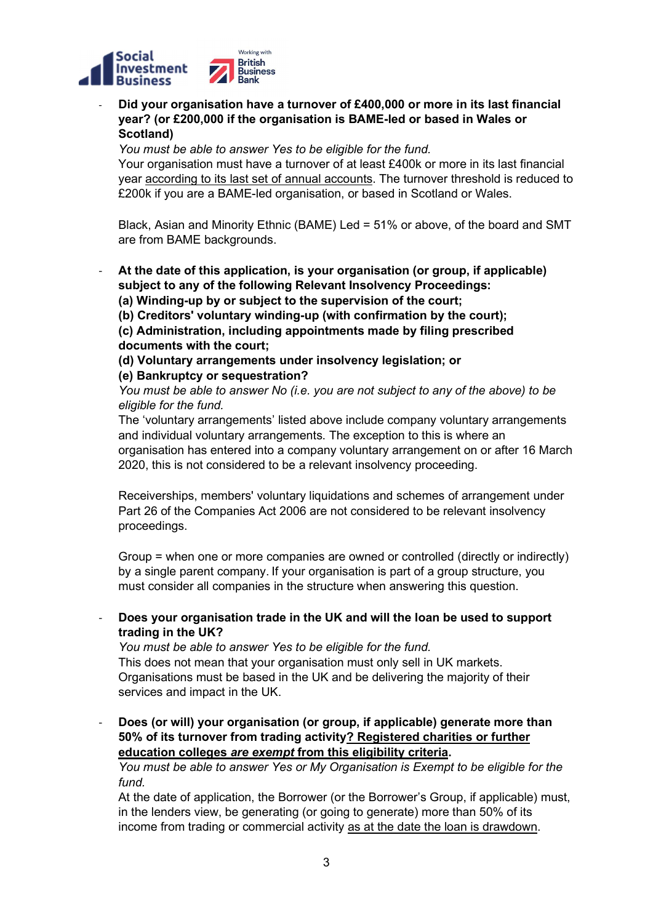

- Did your organisation have a turnover of £400,000 or more in its last financial year? (or £200,000 if the organisation is BAME-led or based in Wales or Scotland)

You must be able to answer Yes to be eligible for the fund.

Your organisation must have a turnover of at least £400k or more in its last financial year according to its last set of annual accounts. The turnover threshold is reduced to £200k if you are a BAME-led organisation, or based in Scotland or Wales.

Black, Asian and Minority Ethnic (BAME) Led = 51% or above, of the board and SMT are from BAME backgrounds.

At the date of this application, is your organisation (or group, if applicable) subject to any of the following Relevant Insolvency Proceedings: (a) Winding-up by or subject to the supervision of the court;

(b) Creditors' voluntary winding-up (with confirmation by the court);

(c) Administration, including appointments made by filing prescribed documents with the court;

(d) Voluntary arrangements under insolvency legislation; or

#### (e) Bankruptcy or sequestration?

You must be able to answer No (i.e. you are not subject to any of the above) to be eligible for the fund.

The 'voluntary arrangements' listed above include company voluntary arrangements and individual voluntary arrangements. The exception to this is where an organisation has entered into a company voluntary arrangement on or after 16 March 2020, this is not considered to be a relevant insolvency proceeding.

Receiverships, members' voluntary liquidations and schemes of arrangement under Part 26 of the Companies Act 2006 are not considered to be relevant insolvency proceedings.

Group = when one or more companies are owned or controlled (directly or indirectly) by a single parent company. If your organisation is part of a group structure, you must consider all companies in the structure when answering this question.

- Does your organisation trade in the UK and will the loan be used to support trading in the UK?

You must be able to answer Yes to be eligible for the fund. This does not mean that your organisation must only sell in UK markets. Organisations must be based in the UK and be delivering the majority of their services and impact in the UK.

Does (or will) your organisation (or group, if applicable) generate more than 50% of its turnover from trading activity? Registered charities or further education colleges are exempt from this eligibility criteria.

You must be able to answer Yes or My Organisation is Exempt to be eligible for the fund.

At the date of application, the Borrower (or the Borrower's Group, if applicable) must, in the lenders view, be generating (or going to generate) more than 50% of its income from trading or commercial activity as at the date the loan is drawdown.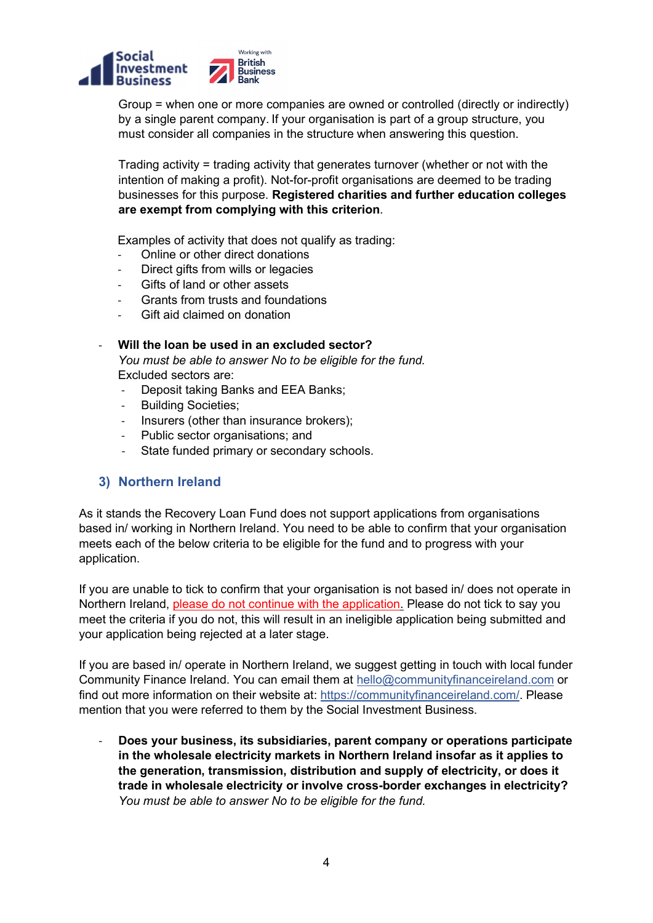

Group = when one or more companies are owned or controlled (directly or indirectly) by a single parent company. If your organisation is part of a group structure, you must consider all companies in the structure when answering this question.

Trading activity = trading activity that generates turnover (whether or not with the intention of making a profit). Not-for-profit organisations are deemed to be trading businesses for this purpose. Registered charities and further education colleges are exempt from complying with this criterion.

Examples of activity that does not qualify as trading:

- Online or other direct donations
- Direct gifts from wills or legacies
- Gifts of land or other assets
- Grants from trusts and foundations
- Gift aid claimed on donation

#### Will the loan be used in an excluded sector?

You must be able to answer No to be eligible for the fund. Excluded sectors are:

- Deposit taking Banks and EEA Banks;
- Building Societies:
- Insurers (other than insurance brokers);
- Public sector organisations; and
- State funded primary or secondary schools.

#### 3) Northern Ireland

As it stands the Recovery Loan Fund does not support applications from organisations based in/ working in Northern Ireland. You need to be able to confirm that your organisation meets each of the below criteria to be eligible for the fund and to progress with your application.

If you are unable to tick to confirm that your organisation is not based in/ does not operate in Northern Ireland, please do not continue with the application. Please do not tick to say you meet the criteria if you do not, this will result in an ineligible application being submitted and your application being rejected at a later stage.

If you are based in/ operate in Northern Ireland, we suggest getting in touch with local funder Community Finance Ireland. You can email them at hello@communityfinanceireland.com or find out more information on their website at: https://communityfinanceireland.com/. Please mention that you were referred to them by the Social Investment Business.

- Does your business, its subsidiaries, parent company or operations participate in the wholesale electricity markets in Northern Ireland insofar as it applies to the generation, transmission, distribution and supply of electricity, or does it trade in wholesale electricity or involve cross-border exchanges in electricity? You must be able to answer No to be eligible for the fund.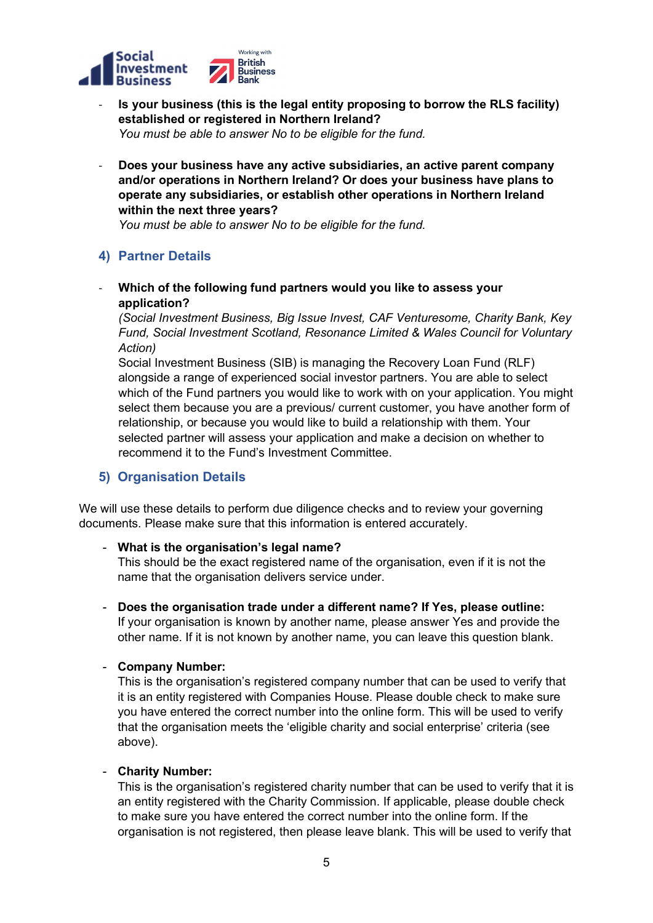

- Is your business (this is the legal entity proposing to borrow the RLS facility) established or registered in Northern Ireland? You must be able to answer No to be eligible for the fund.
- Does your business have any active subsidiaries, an active parent company and/or operations in Northern Ireland? Or does your business have plans to operate any subsidiaries, or establish other operations in Northern Ireland within the next three years?

You must be able to answer No to be eligible for the fund.

# 4) Partner Details

- Which of the following fund partners would you like to assess your application?

(Social Investment Business, Big Issue Invest, CAF Venturesome, Charity Bank, Key Fund, Social Investment Scotland, Resonance Limited & Wales Council for Voluntary Action)

Social Investment Business (SIB) is managing the Recovery Loan Fund (RLF) alongside a range of experienced social investor partners. You are able to select which of the Fund partners you would like to work with on your application. You might select them because you are a previous/ current customer, you have another form of relationship, or because you would like to build a relationship with them. Your selected partner will assess your application and make a decision on whether to recommend it to the Fund's Investment Committee.

# 5) Organisation Details

We will use these details to perform due diligence checks and to review your governing documents. Please make sure that this information is entered accurately.

#### - What is the organisation's legal name?

This should be the exact registered name of the organisation, even if it is not the name that the organisation delivers service under.

# - Does the organisation trade under a different name? If Yes, please outline:

If your organisation is known by another name, please answer Yes and provide the other name. If it is not known by another name, you can leave this question blank.

#### - Company Number:

This is the organisation's registered company number that can be used to verify that it is an entity registered with Companies House. Please double check to make sure you have entered the correct number into the online form. This will be used to verify that the organisation meets the 'eligible charity and social enterprise' criteria (see above).

#### - Charity Number:

This is the organisation's registered charity number that can be used to verify that it is an entity registered with the Charity Commission. If applicable, please double check to make sure you have entered the correct number into the online form. If the organisation is not registered, then please leave blank. This will be used to verify that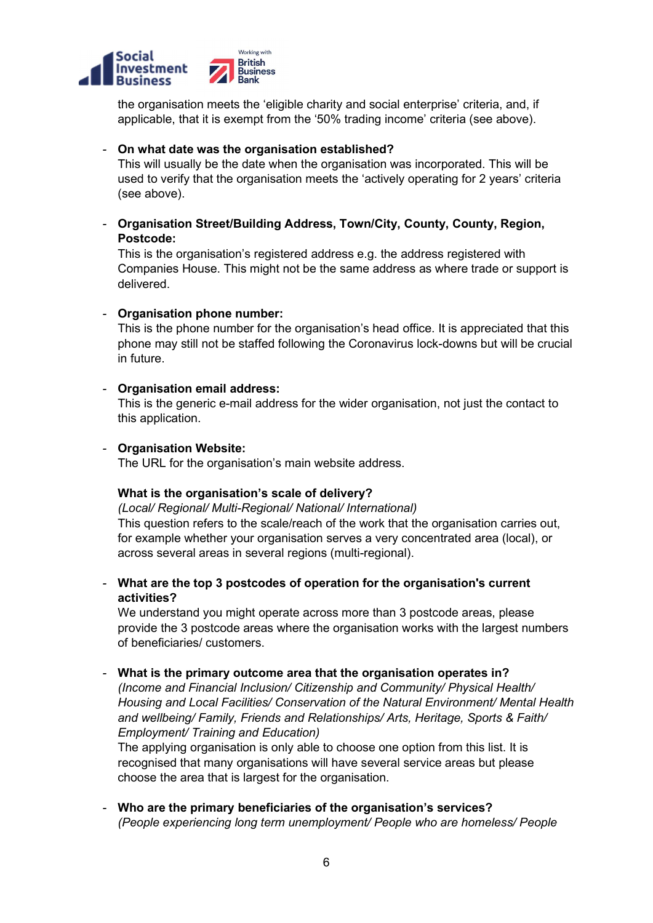

the organisation meets the 'eligible charity and social enterprise' criteria, and, if applicable, that it is exempt from the '50% trading income' criteria (see above).

#### - On what date was the organisation established?

This will usually be the date when the organisation was incorporated. This will be used to verify that the organisation meets the 'actively operating for 2 years' criteria (see above).

- Organisation Street/Building Address, Town/City, County, County, Region, Postcode:

This is the organisation's registered address e.g. the address registered with Companies House. This might not be the same address as where trade or support is delivered.

#### - Organisation phone number:

This is the phone number for the organisation's head office. It is appreciated that this phone may still not be staffed following the Coronavirus lock-downs but will be crucial in future.

#### - Organisation email address:

This is the generic e-mail address for the wider organisation, not just the contact to this application.

#### - Organisation Website:

The URL for the organisation's main website address.

#### What is the organisation's scale of delivery?

(Local/ Regional/ Multi-Regional/ National/ International) This question refers to the scale/reach of the work that the organisation carries out, for example whether your organisation serves a very concentrated area (local), or across several areas in several regions (multi-regional).

- What are the top 3 postcodes of operation for the organisation's current activities?

We understand you might operate across more than 3 postcode areas, please provide the 3 postcode areas where the organisation works with the largest numbers of beneficiaries/ customers.

#### - What is the primary outcome area that the organisation operates in?

(Income and Financial Inclusion/ Citizenship and Community/ Physical Health/ Housing and Local Facilities/ Conservation of the Natural Environment/ Mental Health and wellbeing/ Family, Friends and Relationships/ Arts, Heritage, Sports & Faith/ Employment/ Training and Education)

The applying organisation is only able to choose one option from this list. It is recognised that many organisations will have several service areas but please choose the area that is largest for the organisation.

- Who are the primary beneficiaries of the organisation's services? (People experiencing long term unemployment/ People who are homeless/ People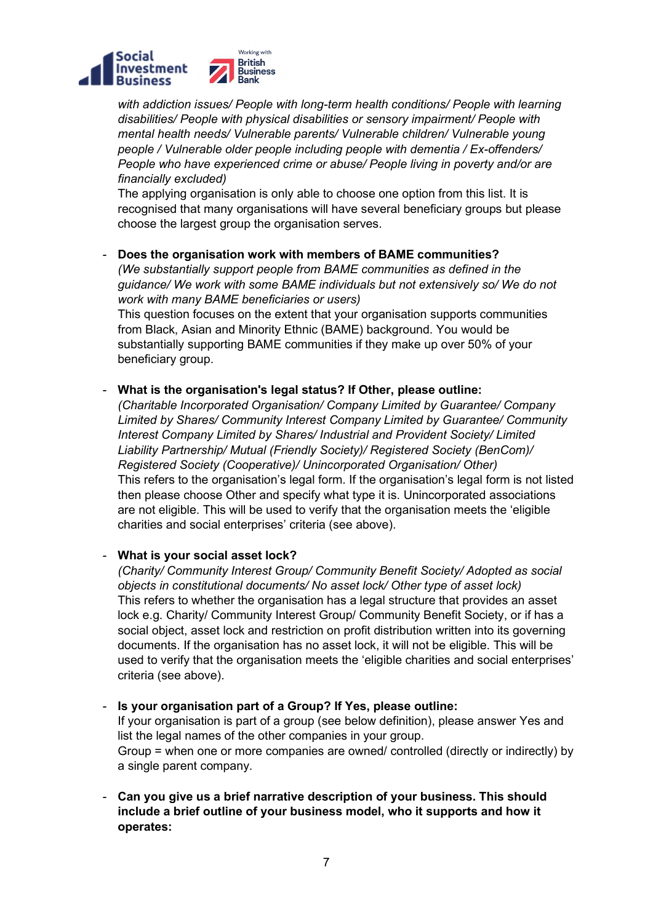

with addiction issues/ People with long-term health conditions/ People with learning disabilities/ People with physical disabilities or sensory impairment/ People with mental health needs/ Vulnerable parents/ Vulnerable children/ Vulnerable young people / Vulnerable older people including people with dementia / Ex-offenders/ People who have experienced crime or abuse/ People living in poverty and/or are financially excluded)

The applying organisation is only able to choose one option from this list. It is recognised that many organisations will have several beneficiary groups but please choose the largest group the organisation serves.

Does the organisation work with members of BAME communities?

(We substantially support people from BAME communities as defined in the guidance/ We work with some BAME individuals but not extensively so/ We do not work with many BAME beneficiaries or users)

This question focuses on the extent that your organisation supports communities from Black, Asian and Minority Ethnic (BAME) background. You would be substantially supporting BAME communities if they make up over 50% of your beneficiary group.

#### - What is the organisation's legal status? If Other, please outline:

(Charitable Incorporated Organisation/ Company Limited by Guarantee/ Company Limited by Shares/ Community Interest Company Limited by Guarantee/ Community Interest Company Limited by Shares/ Industrial and Provident Society/ Limited Liability Partnership/ Mutual (Friendly Society)/ Registered Society (BenCom)/ Registered Society (Cooperative)/ Unincorporated Organisation/ Other) This refers to the organisation's legal form. If the organisation's legal form is not listed then please choose Other and specify what type it is. Unincorporated associations are not eligible. This will be used to verify that the organisation meets the 'eligible charities and social enterprises' criteria (see above).

What is your social asset lock?

(Charity/ Community Interest Group/ Community Benefit Society/ Adopted as social objects in constitutional documents/ No asset lock/ Other type of asset lock) This refers to whether the organisation has a legal structure that provides an asset lock e.g. Charity/ Community Interest Group/ Community Benefit Society, or if has a social object, asset lock and restriction on profit distribution written into its governing documents. If the organisation has no asset lock, it will not be eligible. This will be used to verify that the organisation meets the 'eligible charities and social enterprises' criteria (see above).

Is your organisation part of a Group? If Yes, please outline: If your organisation is part of a group (see below definition), please answer Yes and list the legal names of the other companies in your group. Group = when one or more companies are owned/ controlled (directly or indirectly) by a single parent company.

- Can you give us a brief narrative description of your business. This should include a brief outline of your business model, who it supports and how it operates: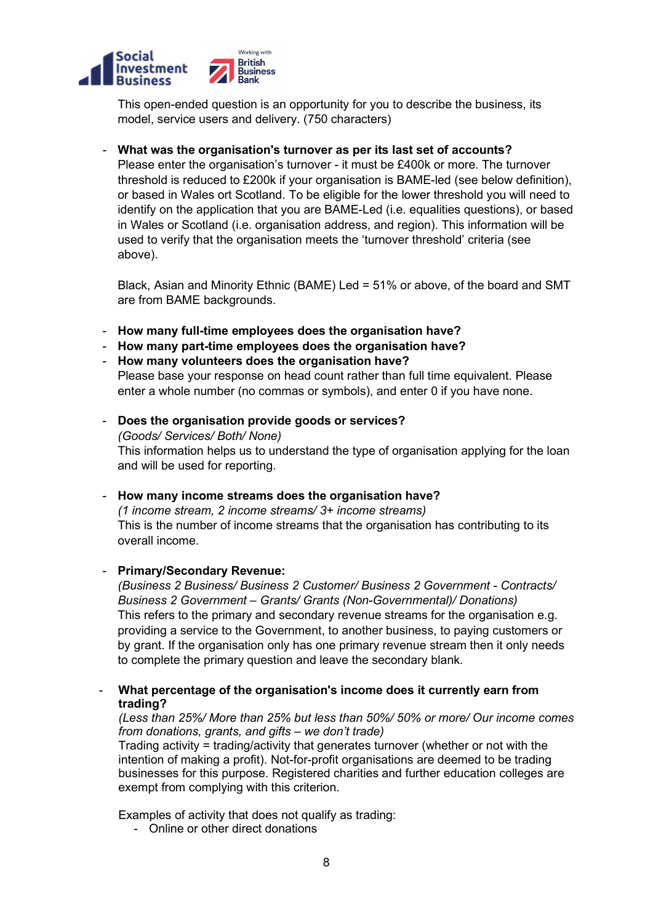

This open-ended question is an opportunity for you to describe the business, its model, service users and delivery. (750 characters)

#### What was the organisation's turnover as per its last set of accounts?

Please enter the organisation's turnover - it must be £400k or more. The turnover threshold is reduced to £200k if your organisation is BAME-led (see below definition), or based in Wales ort Scotland. To be eligible for the lower threshold you will need to identify on the application that you are BAME-Led (i.e. equalities questions), or based in Wales or Scotland (i.e. organisation address, and region). This information will be used to verify that the organisation meets the 'turnover threshold' criteria (see above).

Black, Asian and Minority Ethnic (BAME) Led = 51% or above, of the board and SMT are from BAME backgrounds.

- How many full-time employees does the organisation have?
- How many part-time employees does the organisation have?
- How many volunteers does the organisation have?

Please base your response on head count rather than full time equivalent. Please enter a whole number (no commas or symbols), and enter 0 if you have none.

- Does the organisation provide goods or services? (Goods/ Services/ Both/ None) This information helps us to understand the type of organisation applying for the loan and will be used for reporting.
- How many income streams does the organisation have? (1 income stream, 2 income streams/ 3+ income streams) This is the number of income streams that the organisation has contributing to its overall income.

#### - Primary/Secondary Revenue:

(Business 2 Business/ Business 2 Customer/ Business 2 Government - Contracts/ Business 2 Government – Grants/ Grants (Non-Governmental)/ Donations) This refers to the primary and secondary revenue streams for the organisation e.g. providing a service to the Government, to another business, to paying customers or by grant. If the organisation only has one primary revenue stream then it only needs to complete the primary question and leave the secondary blank.

What percentage of the organisation's income does it currently earn from trading?

#### (Less than 25%/ More than 25% but less than 50%/ 50% or more/ Our income comes from donations, grants, and gifts – we don't trade)

Trading activity = trading/activity that generates turnover (whether or not with the intention of making a profit). Not-for-profit organisations are deemed to be trading businesses for this purpose. Registered charities and further education colleges are exempt from complying with this criterion.

Examples of activity that does not qualify as trading:

- Online or other direct donations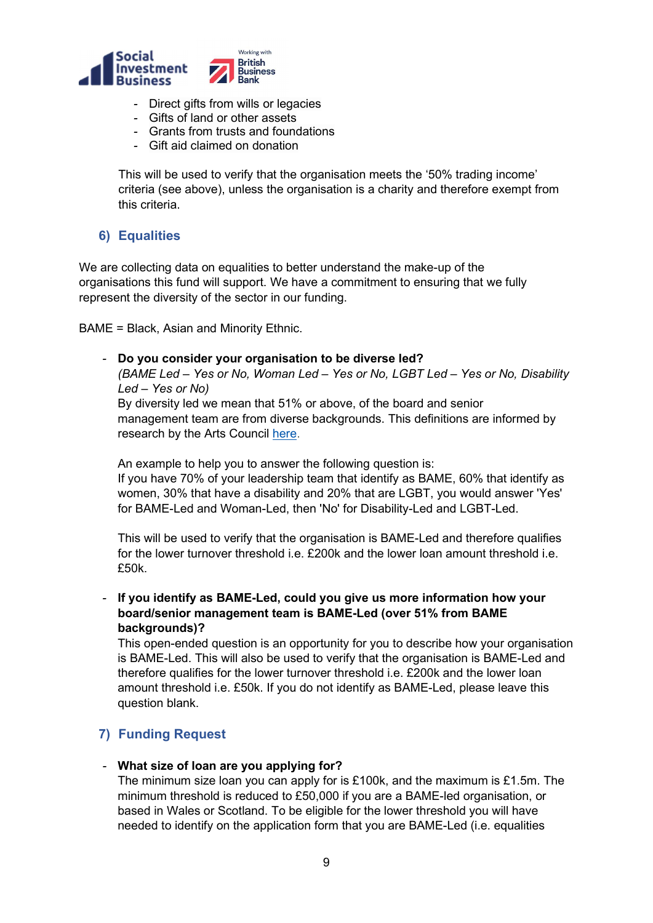

- Direct gifts from wills or legacies
- Gifts of land or other assets
- Grants from trusts and foundations
- Gift aid claimed on donation

This will be used to verify that the organisation meets the '50% trading income' criteria (see above), unless the organisation is a charity and therefore exempt from this criteria.

# 6) Equalities

We are collecting data on equalities to better understand the make-up of the organisations this fund will support. We have a commitment to ensuring that we fully represent the diversity of the sector in our funding.

BAME = Black, Asian and Minority Ethnic.

- Do you consider your organisation to be diverse led? (BAME Led – Yes or No, Woman Led – Yes or No, LGBT Led – Yes or No, Disability Led – Yes or No) By diversity led we mean that 51% or above, of the board and senior management team are from diverse backgrounds. This definitions are informed by research by the Arts Council here.

An example to help you to answer the following question is: If you have 70% of your leadership team that identify as BAME, 60% that identify as women, 30% that have a disability and 20% that are LGBT, you would answer 'Yes' for BAME-Led and Woman-Led, then 'No' for Disability-Led and LGBT-Led.

This will be used to verify that the organisation is BAME-Led and therefore qualifies for the lower turnover threshold i.e. £200k and the lower loan amount threshold i.e. £50k.

If you identify as BAME-Led, could you give us more information how your board/senior management team is BAME-Led (over 51% from BAME backgrounds)?

This open-ended question is an opportunity for you to describe how your organisation is BAME-Led. This will also be used to verify that the organisation is BAME-Led and therefore qualifies for the lower turnover threshold i.e. £200k and the lower loan amount threshold i.e. £50k. If you do not identify as BAME-Led, please leave this question blank.

# 7) Funding Request

#### - What size of loan are you applying for?

The minimum size loan you can apply for is £100k, and the maximum is £1.5m. The minimum threshold is reduced to £50,000 if you are a BAME-led organisation, or based in Wales or Scotland. To be eligible for the lower threshold you will have needed to identify on the application form that you are BAME-Led (i.e. equalities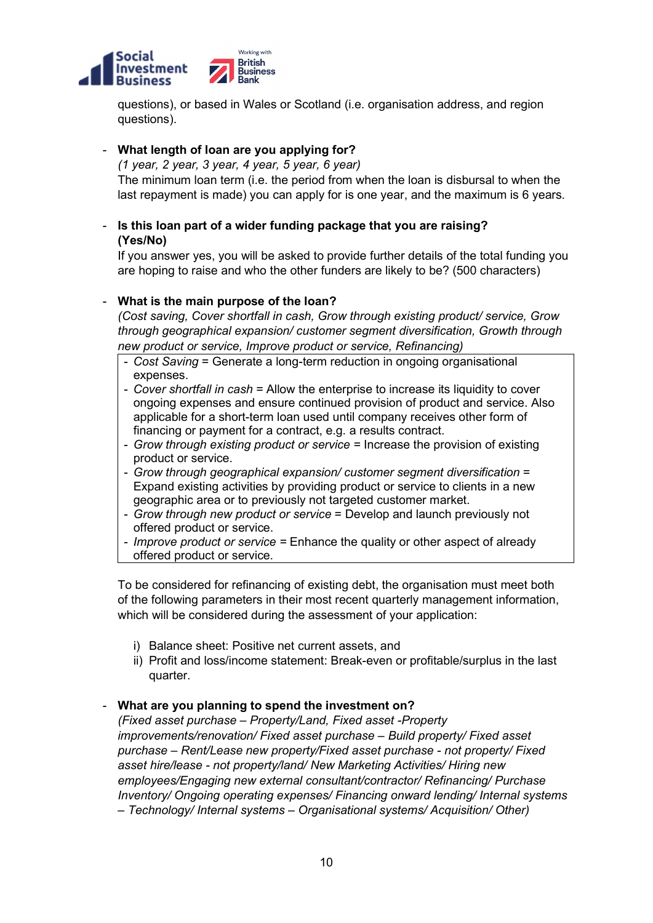

questions), or based in Wales or Scotland (i.e. organisation address, and region questions).

# - What length of loan are you applying for?

(1 year, 2 year, 3 year, 4 year, 5 year, 6 year) The minimum loan term (i.e. the period from when the loan is disbursal to when the

last repayment is made) you can apply for is one year, and the maximum is 6 years.

# Is this loan part of a wider funding package that you are raising? (Yes/No)

If you answer yes, you will be asked to provide further details of the total funding you are hoping to raise and who the other funders are likely to be? (500 characters)

# What is the main purpose of the loan?

(Cost saving, Cover shortfall in cash, Grow through existing product/ service, Grow through geographical expansion/ customer segment diversification, Growth through new product or service, Improve product or service, Refinancing)

- Cost Saving = Generate a long-term reduction in ongoing organisational expenses.
- Cover shortfall in cash = Allow the enterprise to increase its liquidity to cover ongoing expenses and ensure continued provision of product and service. Also applicable for a short-term loan used until company receives other form of financing or payment for a contract, e.g. a results contract.
- Grow through existing product or service = Increase the provision of existing product or service.
- Grow through geographical expansion/ customer segment diversification = Expand existing activities by providing product or service to clients in a new geographic area or to previously not targeted customer market.
- Grow through new product or service = Develop and launch previously not offered product or service.
- Improve product or service = Enhance the quality or other aspect of already offered product or service.

To be considered for refinancing of existing debt, the organisation must meet both of the following parameters in their most recent quarterly management information, which will be considered during the assessment of your application:

- i) Balance sheet: Positive net current assets, and
- ii) Profit and loss/income statement: Break-even or profitable/surplus in the last quarter.

#### - What are you planning to spend the investment on?

(Fixed asset purchase – Property/Land, Fixed asset -Property improvements/renovation/ Fixed asset purchase – Build property/ Fixed asset purchase – Rent/Lease new property/Fixed asset purchase - not property/ Fixed asset hire/lease - not property/land/ New Marketing Activities/ Hiring new employees/Engaging new external consultant/contractor/ Refinancing/ Purchase Inventory/ Ongoing operating expenses/ Financing onward lending/ Internal systems – Technology/ Internal systems – Organisational systems/ Acquisition/ Other)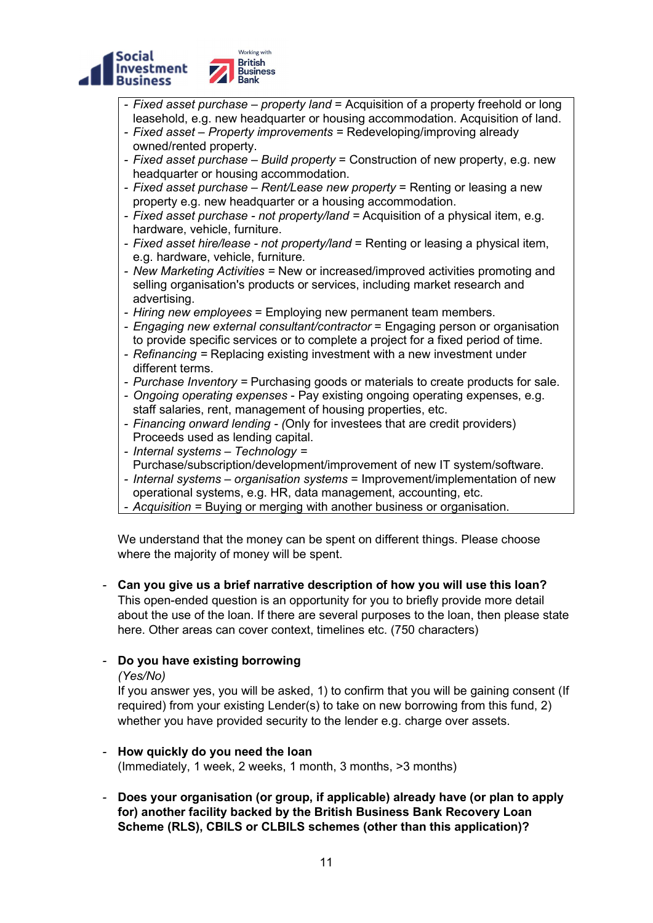

- L - Fixed asset purchase – property land = Acquisition of a property freehold or long leasehold, e.g. new headquarter or housing accommodation. Acquisition of land.
- Fixed asset Property improvements = Redeveloping/improving already owned/rented property.
- Fixed asset purchase Build property = Construction of new property, e.g. new headquarter or housing accommodation.
- Fixed asset purchase Rent/Lease new property = Renting or leasing a new property e.g. new headquarter or a housing accommodation.
- Fixed asset purchase not property/land = Acquisition of a physical item, e.g. hardware, vehicle, furniture.
- Fixed asset hire/lease not property/land = Renting or leasing a physical item, e.g. hardware, vehicle, furniture.
- New Marketing Activities = New or increased/improved activities promoting and selling organisation's products or services, including market research and advertising.
- Hiring new employees = Employing new permanent team members.
- Engaging new external consultant/contractor = Engaging person or organisation to provide specific services or to complete a project for a fixed period of time.
- Refinancing = Replacing existing investment with a new investment under different terms.
- Purchase Inventory = Purchasing goods or materials to create products for sale.
- Ongoing operating expenses Pay existing ongoing operating expenses, e.g. staff salaries, rent, management of housing properties, etc.
- Financing onward lending (Only for investees that are credit providers) Proceeds used as lending capital.
- Internal systems Technology = Purchase/subscription/development/improvement of new IT system/software.
- Internal systems organisation systems = Improvement/implementation of new operational systems, e.g. HR, data management, accounting, etc.
- Acquisition = Buying or merging with another business or organisation.

We understand that the money can be spent on different things. Please choose where the majority of money will be spent.

- Can you give us a brief narrative description of how you will use this loan? This open-ended question is an opportunity for you to briefly provide more detail about the use of the loan. If there are several purposes to the loan, then please state here. Other areas can cover context, timelines etc. (750 characters)

# - Do you have existing borrowing

#### (Yes/No)

If you answer yes, you will be asked, 1) to confirm that you will be gaining consent (If required) from your existing Lender(s) to take on new borrowing from this fund, 2) whether you have provided security to the lender e.g. charge over assets.

#### - How quickly do you need the loan

(Immediately, 1 week, 2 weeks, 1 month, 3 months, >3 months)

Does your organisation (or group, if applicable) already have (or plan to apply for) another facility backed by the British Business Bank Recovery Loan Scheme (RLS), CBILS or CLBILS schemes (other than this application)?